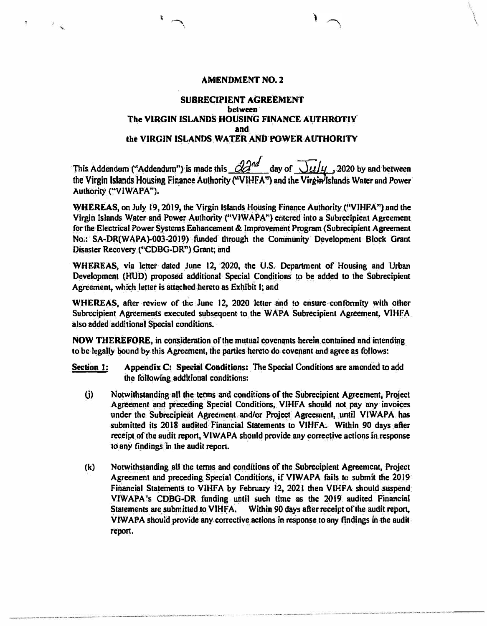## **AMENDMENT NO. 2**

 $\mathcal{L}$ 

�

ł.

 $\sim$   $\sim$ 

## **SUBRECIPIENT AGREEMENT between The VIRGIN ISLANDS HOUSING FINANCE AUTHROTIY and the VIRGIN ISLANDS WATER AND POWER AUTHORITY**

This Addendum ("Addendum") is made this  $\frac{\partial^2 u}{\partial x}$  day of  $\frac{\partial u}{\partial y}$ , 2020 by and between the Virgin Islands Housing Finance Authority ("VIHFA") and the Virgin Islands Water and Power **Authority ("VlWAPA").** 

**WHEREAS, on July 19, 2019, the Virgin Islands Housing Finance Authority ("VIHFA") and the Virgin Islands Water and Power Authority ("VIWAPA'') entered int o a Subrecipient Agreement for the Electrical Power Systems Enhancement & Improvement Program (Subrecipient Agreement**  No.: SA-DR(WAPA)-003-2019) funded through the Community Development Block Grant Disaster Recovery ("CDBG-DR") Grant; and

**WHEREAS, via letter dated June 12, 2020, !he U.S. Department or Housing and Urban Developmcnl (HUD) proposed additional Special Conditions to be added to the Subrecipient Agreemen½ which letter is attached hereto as Exhibit I; and** 

**WHEREAS, after review of the June 12, 2020 Jetler and to ensure confonnity with olher Subrecipient Agreements executed subsequent to the WAPA Subrecipienl Agreement, VJHFA also added additional Special conditions.** 

**NOW THEREFOREt in consideration of the mutual covenanls herein contained and intendin'g to be legally bound by this Agreement, the parties hereto do covenant and agree as follows:** 

**Section 1:** Appendix C: Special Conditions: The Special Conditions are amended to add **the following additional conditions:** 

- **(i) Notwithstanding all the tenns and conditions of the Subrecipient Agreement, Project**  Agreement and preceding Special Conditions, VIHFA should not pay any invoices under the Subrecipient Agreement and/or Project Agreement, until VIWAPA has **submitted its 2018 audited Financial Statements to VIHFA. Within 90 days after receipt of the audit report, VIWAPA should provide any corrective actions in response to any findings in the audit report.**
- **(k) Notwithstanding all the tenns and conditions of the Subrecipient Agreement, Project Agreement and preceding Special Conditions, ifVJWAPA fails to submit the 2019** Financial Statements to VIHFA by February 12, 2021 then VIHFA should suspend **VJWAPA**<sup>1</sup> **s CDBG .. DR funding untiJ such time as the 2019 audited Financial** Statements are submitted to VIHFA, Within 90 days after receipt of the audit report, **VJWAPA should provide any corrective aclions in response to any findings in the audit repon.**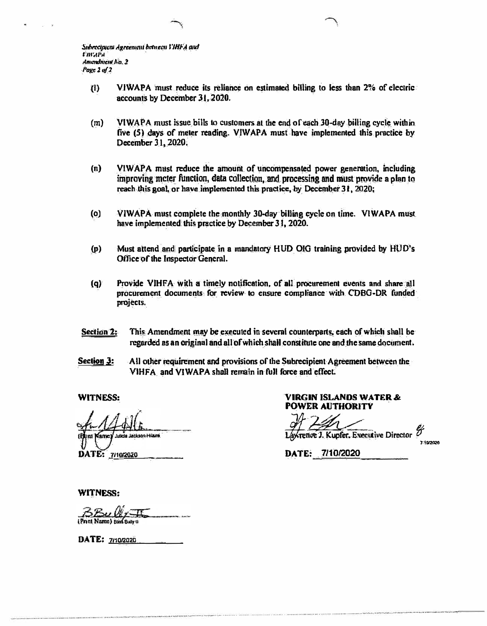*Subrecipuem Agreement between J'HF'A and t'mrtl'..1 AmL-ndnttnl AO, 1 Page 1 of 2* 

- **(I) VIWAPA must reduce its reliance on estimated billing to less than 2% of electric accounts by December 31, 2020.**
- **(m) VIWAPA must issue bills to customers at the end of each 30-day billing cycle within five (5) days of meter reading. VIWAPA must have implemented this practice by December 3 I, 2020.**
- **(n) VIWAPA must reduce the amount of uncompensated power generation, including improving meter function, data collection, and processing and must provide a plan to reach this goal, or have implemented this practice. by December 31, 2020;**
- **(o) VIWAPA must complete the monthly 30-day billing cycle on time. VIWAPA must have implemented this practice by December 3 I, 2020.**
- **(p) Must attend and participate in a mandatory HUD 010 training provided by HUD's Office of the Inspector General.**
- **(q) Provide VIHFA with a timely notification. of all procurement events and share all procurement documents for review lo ensure compliance with COBO-DR funded projects.**
- **Section 2: This Amendment may be executed in several counterparts. each of which shall be regarded as an original and all of which shall constitute one and the same document.**
- **Section 3:** All other requirement and provisions of the Subrecipient Agreement between the **VIHFA and VIWAPA shall remain in full force and effect.**

.<br>Ha Jackson Hilaira sme DATE: 7/10/2020

**WITNESS: VIRGIN ISLANDS WATER& POWER AUTHORITY** 

 $A$ *XTence J. Kupfer, Executive Director* 

J:\ElfZ02(!

**DATE: 7110/2020** 

**WITNESS:** 

Print Name) Bad Balva

DATE: 7/10/2020